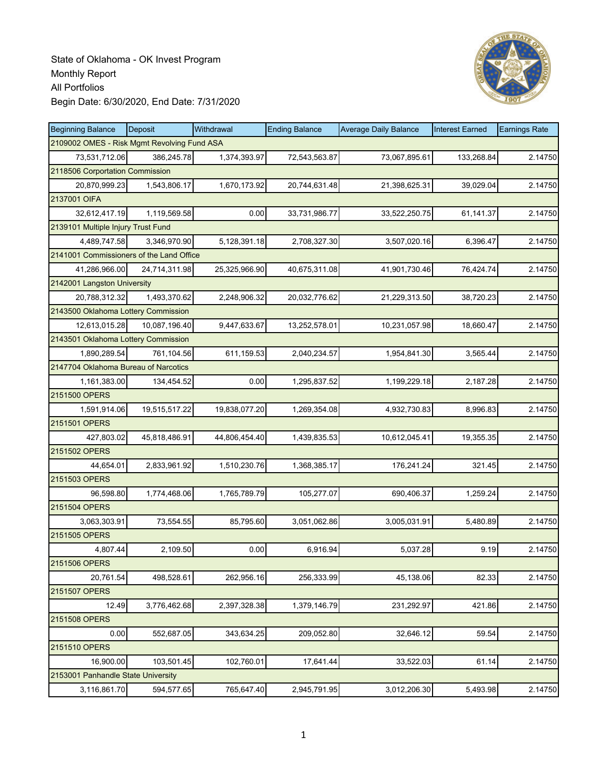

| <b>Beginning Balance</b>                    | Deposit       | Withdrawal    | <b>Ending Balance</b> | <b>Average Daily Balance</b> | <b>Interest Earned</b> | <b>Earnings Rate</b> |
|---------------------------------------------|---------------|---------------|-----------------------|------------------------------|------------------------|----------------------|
| 2109002 OMES - Risk Mgmt Revolving Fund ASA |               |               |                       |                              |                        |                      |
| 73,531,712.06                               | 386,245.78    | 1,374,393.97  | 72,543,563.87         | 73,067,895.61                | 133,268.84             | 2.14750              |
| 2118506 Corportation Commission             |               |               |                       |                              |                        |                      |
| 20,870,999.23                               | 1,543,806.17  | 1,670,173.92  | 20,744,631.48         | 21,398,625.31                | 39,029.04              | 2.14750              |
| 2137001 OIFA                                |               |               |                       |                              |                        |                      |
| 32,612,417.19                               | 1,119,569.58  | 0.00          | 33,731,986.77         | 33,522,250.75                | 61,141.37              | 2.14750              |
| 2139101 Multiple Injury Trust Fund          |               |               |                       |                              |                        |                      |
| 4,489,747.58                                | 3,346,970.90  | 5,128,391.18  | 2,708,327.30          | 3,507,020.16                 | 6,396.47               | 2.14750              |
| 2141001 Commissioners of the Land Office    |               |               |                       |                              |                        |                      |
| 41,286,966.00                               | 24,714,311.98 | 25,325,966.90 | 40,675,311.08         | 41,901,730.46                | 76,424.74              | 2.14750              |
| 2142001 Langston University                 |               |               |                       |                              |                        |                      |
| 20,788,312.32                               | 1,493,370.62  | 2,248,906.32  | 20,032,776.62         | 21,229,313.50                | 38,720.23              | 2.14750              |
| 2143500 Oklahoma Lottery Commission         |               |               |                       |                              |                        |                      |
| 12,613,015.28                               | 10,087,196.40 | 9,447,633.67  | 13,252,578.01         | 10,231,057.98                | 18,660.47              | 2.14750              |
| 2143501 Oklahoma Lottery Commission         |               |               |                       |                              |                        |                      |
| 1,890,289.54                                | 761.104.56    | 611,159.53    | 2,040,234.57          | 1,954,841.30                 | 3,565.44               | 2.14750              |
| 2147704 Oklahoma Bureau of Narcotics        |               |               |                       |                              |                        |                      |
| 1,161,383.00                                | 134,454.52    | 0.00          | 1,295,837.52          | 1,199,229.18                 | 2,187.28               | 2.14750              |
| 2151500 OPERS                               |               |               |                       |                              |                        |                      |
| 1,591,914.06                                | 19,515,517.22 | 19,838,077.20 | 1,269,354.08          | 4,932,730.83                 | 8,996.83               | 2.14750              |
| 2151501 OPERS                               |               |               |                       |                              |                        |                      |
| 427,803.02                                  | 45,818,486.91 | 44,806,454.40 | 1,439,835.53          | 10,612,045.41                | 19,355.35              | 2.14750              |
| 2151502 OPERS                               |               |               |                       |                              |                        |                      |
| 44,654.01                                   | 2,833,961.92  | 1,510,230.76  | 1,368,385.17          | 176,241.24                   | 321.45                 | 2.14750              |
| 2151503 OPERS                               |               |               |                       |                              |                        |                      |
| 96,598.80                                   | 1,774,468.06  | 1,765,789.79  | 105,277.07            | 690,406.37                   | 1,259.24               | 2.14750              |
| 2151504 OPERS                               |               |               |                       |                              |                        |                      |
| 3,063,303.91                                | 73,554.55     | 85,795.60     | 3,051,062.86          | 3,005,031.91                 | 5,480.89               | 2.14750              |
| 2151505 OPERS                               |               |               |                       |                              |                        |                      |
| 4,807.44                                    | 2,109.50      | 0.00          | 6,916.94              | 5,037.28                     | 9.19                   | 2.14750              |
| 2151506 OPERS                               |               |               |                       |                              |                        |                      |
| 20,761.54                                   | 498,528.61    | 262,956.16    | 256,333.99            | 45,138.06                    | 82.33                  | 2.14750              |
| 2151507 OPERS                               |               |               |                       |                              |                        |                      |
| 12.49                                       | 3,776,462.68  | 2,397,328.38  | 1,379,146.79          | 231,292.97                   | 421.86                 | 2.14750              |
| 2151508 OPERS                               |               |               |                       |                              |                        |                      |
| 0.00                                        | 552,687.05    | 343,634.25    | 209,052.80            | 32,646.12                    | 59.54                  | 2.14750              |
| 2151510 OPERS                               |               |               |                       |                              |                        |                      |
| 16,900.00                                   | 103,501.45    | 102,760.01    | 17,641.44             | 33,522.03                    | 61.14                  | 2.14750              |
| 2153001 Panhandle State University          |               |               |                       |                              |                        |                      |
| 3,116,861.70                                | 594,577.65    | 765,647.40    | 2,945,791.95          | 3,012,206.30                 | 5,493.98               | 2.14750              |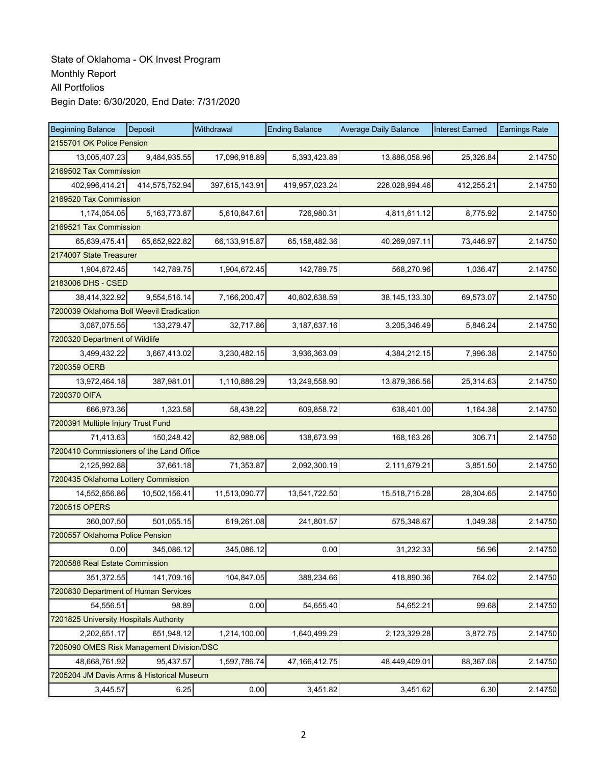| <b>Beginning Balance</b>                  | Deposit                   | Withdrawal     | <b>Ending Balance</b> | <b>Average Daily Balance</b> | <b>Interest Earned</b> | <b>Earnings Rate</b> |  |  |  |
|-------------------------------------------|---------------------------|----------------|-----------------------|------------------------------|------------------------|----------------------|--|--|--|
|                                           | 2155701 OK Police Pension |                |                       |                              |                        |                      |  |  |  |
| 13,005,407.23                             | 9,484,935.55              | 17,096,918.89  | 5,393,423.89          | 13,886,058.96                | 25,326.84              | 2.14750              |  |  |  |
| 2169502 Tax Commission                    |                           |                |                       |                              |                        |                      |  |  |  |
| 402,996,414.21                            | 414,575,752.94            | 397,615,143.91 | 419,957,023.24        | 226,028,994.46               | 412,255.21             | 2.14750              |  |  |  |
| 2169520 Tax Commission                    |                           |                |                       |                              |                        |                      |  |  |  |
| 1,174,054.05                              | 5, 163, 773. 87           | 5,610,847.61   | 726,980.31            | 4,811,611.12                 | 8,775.92               | 2.14750              |  |  |  |
| 2169521 Tax Commission                    |                           |                |                       |                              |                        |                      |  |  |  |
| 65,639,475.41                             | 65,652,922.82             | 66,133,915.87  | 65,158,482.36         | 40,269,097.11                | 73,446.97              | 2.14750              |  |  |  |
| 2174007 State Treasurer                   |                           |                |                       |                              |                        |                      |  |  |  |
| 1,904,672.45                              | 142,789.75                | 1,904,672.45   | 142,789.75            | 568,270.96                   | 1,036.47               | 2.14750              |  |  |  |
| 2183006 DHS - CSED                        |                           |                |                       |                              |                        |                      |  |  |  |
| 38,414,322.92                             | 9,554,516.14              | 7,166,200.47   | 40,802,638.59         | 38, 145, 133. 30             | 69,573.07              | 2.14750              |  |  |  |
| 7200039 Oklahoma Boll Weevil Eradication  |                           |                |                       |                              |                        |                      |  |  |  |
| 3,087,075.55                              | 133,279.47                | 32,717.86      | 3,187,637.16          | 3,205,346.49                 | 5,846.24               | 2.14750              |  |  |  |
| 7200320 Department of Wildlife            |                           |                |                       |                              |                        |                      |  |  |  |
| 3,499,432.22                              | 3,667,413.02              | 3,230,482.15   | 3,936,363.09          | 4,384,212.15                 | 7,996.38               | 2.14750              |  |  |  |
| 7200359 OERB                              |                           |                |                       |                              |                        |                      |  |  |  |
| 13,972,464.18                             | 387,981.01                | 1,110,886.29   | 13,249,558.90         | 13,879,366.56                | 25,314.63              | 2.14750              |  |  |  |
| 7200370 OIFA                              |                           |                |                       |                              |                        |                      |  |  |  |
| 666,973.36                                | 1,323.58                  | 58,438.22      | 609,858.72            | 638,401.00                   | 1,164.38               | 2.14750              |  |  |  |
| 7200391 Multiple Injury Trust Fund        |                           |                |                       |                              |                        |                      |  |  |  |
| 71,413.63                                 | 150,248.42                | 82,988.06      | 138,673.99            | 168,163.26                   | 306.71                 | 2.14750              |  |  |  |
| 7200410 Commissioners of the Land Office  |                           |                |                       |                              |                        |                      |  |  |  |
| 2,125,992.88                              | 37,661.18                 | 71,353.87      | 2,092,300.19          | 2,111,679.21                 | 3,851.50               | 2.14750              |  |  |  |
| 7200435 Oklahoma Lottery Commission       |                           |                |                       |                              |                        |                      |  |  |  |
| 14,552,656.86                             | 10,502,156.41             | 11,513,090.77  | 13,541,722.50         | 15,518,715.28                | 28,304.65              | 2.14750              |  |  |  |
| 7200515 OPERS                             |                           |                |                       |                              |                        |                      |  |  |  |
| 360,007.50                                | 501,055.15                | 619,261.08     | 241,801.57            | 575,348.67                   | 1,049.38               | 2.14750              |  |  |  |
| 7200557 Oklahoma Police Pension           |                           |                |                       |                              |                        |                      |  |  |  |
| 0.00                                      | 345,086.12                | 345,086.12     | 0.00                  | 31,232.33                    | 56.96                  | 2.14750              |  |  |  |
| 7200588 Real Estate Commission            |                           |                |                       |                              |                        |                      |  |  |  |
| 351,372.55                                | 141,709.16                | 104,847.05     | 388,234.66            | 418,890.36                   | 764.02                 | 2.14750              |  |  |  |
| 7200830 Department of Human Services      |                           |                |                       |                              |                        |                      |  |  |  |
| 54,556.51                                 | 98.89                     | 0.00           | 54,655.40             | 54,652.21                    | 99.68                  | 2.14750              |  |  |  |
| 7201825 University Hospitals Authority    |                           |                |                       |                              |                        |                      |  |  |  |
| 2,202,651.17                              | 651,948.12                | 1,214,100.00   | 1,640,499.29          | 2,123,329.28                 | 3,872.75               | 2.14750              |  |  |  |
| 7205090 OMES Risk Management Division/DSC |                           |                |                       |                              |                        |                      |  |  |  |
| 48,668,761.92                             | 95,437.57                 | 1,597,786.74   | 47,166,412.75         | 48,449,409.01                | 88,367.08              | 2.14750              |  |  |  |
| 7205204 JM Davis Arms & Historical Museum |                           |                |                       |                              |                        |                      |  |  |  |
| 3,445.57                                  | 6.25                      | 0.00           | 3,451.82              | 3,451.62                     | 6.30                   | 2.14750              |  |  |  |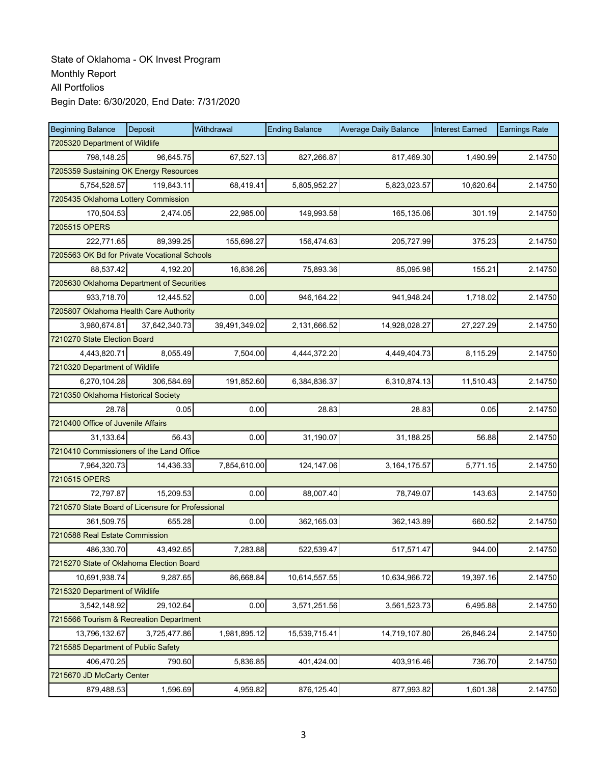| <b>Beginning Balance</b>                          | Deposit                             | Withdrawal    | <b>Ending Balance</b> | <b>Average Daily Balance</b> | <b>Interest Earned</b> | <b>Earnings Rate</b> |  |  |  |  |
|---------------------------------------------------|-------------------------------------|---------------|-----------------------|------------------------------|------------------------|----------------------|--|--|--|--|
| 7205320 Department of Wildlife                    |                                     |               |                       |                              |                        |                      |  |  |  |  |
| 798,148.25                                        | 96,645.75                           | 67,527.13     | 827,266.87            | 817,469.30                   | 1,490.99               | 2.14750              |  |  |  |  |
| 7205359 Sustaining OK Energy Resources            |                                     |               |                       |                              |                        |                      |  |  |  |  |
| 5,754,528.57                                      | 119,843.11                          | 68,419.41     | 5,805,952.27          | 5,823,023.57                 | 10,620.64              | 2.14750              |  |  |  |  |
|                                                   | 7205435 Oklahoma Lottery Commission |               |                       |                              |                        |                      |  |  |  |  |
| 170,504.53                                        | 2,474.05                            | 22,985.00     | 149,993.58            | 165,135.06                   | 301.19                 | 2.14750              |  |  |  |  |
| 7205515 OPERS                                     |                                     |               |                       |                              |                        |                      |  |  |  |  |
| 222,771.65                                        | 89,399.25                           | 155,696.27    | 156,474.63            | 205,727.99                   | 375.23                 | 2.14750              |  |  |  |  |
| 7205563 OK Bd for Private Vocational Schools      |                                     |               |                       |                              |                        |                      |  |  |  |  |
| 88,537.42                                         | 4,192.20                            | 16,836.26     | 75,893.36             | 85,095.98                    | 155.21                 | 2.14750              |  |  |  |  |
| 7205630 Oklahoma Department of Securities         |                                     |               |                       |                              |                        |                      |  |  |  |  |
| 933,718.70                                        | 12,445.52                           | 0.00          | 946,164.22            | 941,948.24                   | 1,718.02               | 2.14750              |  |  |  |  |
| 7205807 Oklahoma Health Care Authority            |                                     |               |                       |                              |                        |                      |  |  |  |  |
| 3,980,674.81                                      | 37,642,340.73                       | 39,491,349.02 | 2,131,666.52          | 14,928,028.27                | 27,227.29              | 2.14750              |  |  |  |  |
| 7210270 State Election Board                      |                                     |               |                       |                              |                        |                      |  |  |  |  |
| 4,443,820.71                                      | 8,055.49                            | 7,504.00      | 4,444,372.20          | 4,449,404.73                 | 8,115.29               | 2.14750              |  |  |  |  |
| 7210320 Department of Wildlife                    |                                     |               |                       |                              |                        |                      |  |  |  |  |
| 6,270,104.28                                      | 306,584.69                          | 191,852.60    | 6,384,836.37          | 6,310,874.13                 | 11,510.43              | 2.14750              |  |  |  |  |
| 7210350 Oklahoma Historical Society               |                                     |               |                       |                              |                        |                      |  |  |  |  |
| 28.78                                             | 0.05                                | 0.00          | 28.83                 | 28.83                        | 0.05                   | 2.14750              |  |  |  |  |
| 7210400 Office of Juvenile Affairs                |                                     |               |                       |                              |                        |                      |  |  |  |  |
| 31,133.64                                         | 56.43                               | 0.00          | 31,190.07             | 31,188.25                    | 56.88                  | 2.14750              |  |  |  |  |
| 7210410 Commissioners of the Land Office          |                                     |               |                       |                              |                        |                      |  |  |  |  |
| 7,964,320.73                                      | 14,436.33                           | 7,854,610.00  | 124,147.06            | 3, 164, 175.57               | 5,771.15               | 2.14750              |  |  |  |  |
| 7210515 OPERS                                     |                                     |               |                       |                              |                        |                      |  |  |  |  |
| 72,797.87                                         | 15,209.53                           | 0.00          | 88,007.40             | 78,749.07                    | 143.63                 | 2.14750              |  |  |  |  |
| 7210570 State Board of Licensure for Professional |                                     |               |                       |                              |                        |                      |  |  |  |  |
| 361,509.75                                        | 655.28                              | 0.00          | 362,165.03            | 362,143.89                   | 660.52                 | 2.14750              |  |  |  |  |
| 7210588 Real Estate Commission                    |                                     |               |                       |                              |                        |                      |  |  |  |  |
| 486,330.70                                        | 43,492.65                           | 7,283.88      | 522,539.47            | 517,571.47                   | 944.00                 | 2.14750              |  |  |  |  |
| 7215270 State of Oklahoma Election Board          |                                     |               |                       |                              |                        |                      |  |  |  |  |
| 10,691,938.74                                     | 9,287.65                            | 86,668.84     | 10,614,557.55         | 10,634,966.72                | 19,397.16              | 2.14750              |  |  |  |  |
| 7215320 Department of Wildlife                    |                                     |               |                       |                              |                        |                      |  |  |  |  |
| 3,542,148.92                                      | 29,102.64                           | 0.00          | 3,571,251.56          | 3,561,523.73                 | 6,495.88               | 2.14750              |  |  |  |  |
| 7215566 Tourism & Recreation Department           |                                     |               |                       |                              |                        |                      |  |  |  |  |
| 13,796,132.67                                     | 3,725,477.86                        | 1,981,895.12  | 15,539,715.41         | 14,719,107.80                | 26,846.24              | 2.14750              |  |  |  |  |
| 7215585 Department of Public Safety               |                                     |               |                       |                              |                        |                      |  |  |  |  |
| 406,470.25                                        | 790.60                              | 5,836.85      | 401,424.00            | 403,916.46                   | 736.70                 | 2.14750              |  |  |  |  |
| 7215670 JD McCarty Center                         |                                     |               |                       |                              |                        |                      |  |  |  |  |
| 879,488.53                                        | 1,596.69                            | 4,959.82      | 876,125.40            | 877,993.82                   | 1,601.38               | 2.14750              |  |  |  |  |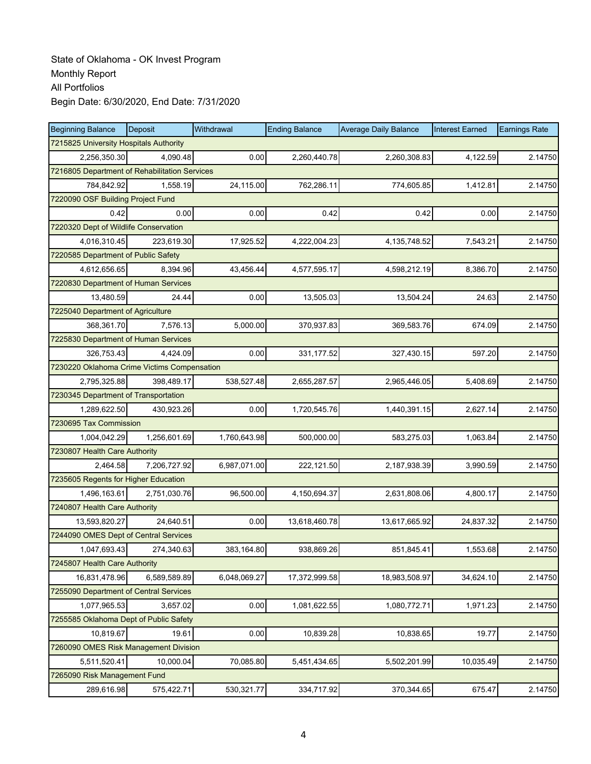| <b>Beginning Balance</b>                    | Deposit                                       | Withdrawal   | <b>Ending Balance</b> | <b>Average Daily Balance</b> | <b>Interest Earned</b> | <b>Earnings Rate</b> |  |  |  |  |
|---------------------------------------------|-----------------------------------------------|--------------|-----------------------|------------------------------|------------------------|----------------------|--|--|--|--|
| 7215825 University Hospitals Authority      |                                               |              |                       |                              |                        |                      |  |  |  |  |
| 2,256,350.30                                | 4,090.48                                      | 0.00         | 2,260,440.78          | 2,260,308.83                 | 4,122.59               | 2.14750              |  |  |  |  |
|                                             | 7216805 Department of Rehabilitation Services |              |                       |                              |                        |                      |  |  |  |  |
| 784,842.92                                  | 1,558.19                                      | 24,115.00    | 762,286.11            | 774,605.85                   | 1,412.81               | 2.14750              |  |  |  |  |
| 7220090 OSF Building Project Fund           |                                               |              |                       |                              |                        |                      |  |  |  |  |
| 0.42                                        | 0.00                                          | 0.00         | 0.42                  | 0.42                         | 0.00                   | 2.14750              |  |  |  |  |
| 7220320 Dept of Wildlife Conservation       |                                               |              |                       |                              |                        |                      |  |  |  |  |
| 4,016,310.45                                | 223,619.30                                    | 17,925.52    | 4,222,004.23          | 4, 135, 748.52               | 7,543.21               | 2.14750              |  |  |  |  |
| 7220585 Department of Public Safety         |                                               |              |                       |                              |                        |                      |  |  |  |  |
| 4,612,656.65                                | 8,394.96                                      | 43,456.44    | 4,577,595.17          | 4,598,212.19                 | 8,386.70               | 2.14750              |  |  |  |  |
| 7220830 Department of Human Services        |                                               |              |                       |                              |                        |                      |  |  |  |  |
| 13,480.59                                   | 24.44                                         | 0.00         | 13,505.03             | 13,504.24                    | 24.63                  | 2.14750              |  |  |  |  |
| 7225040 Department of Agriculture           |                                               |              |                       |                              |                        |                      |  |  |  |  |
| 368,361.70                                  | 7.576.13                                      | 5,000.00     | 370,937.83            | 369,583.76                   | 674.09                 | 2.14750              |  |  |  |  |
| 7225830 Department of Human Services        |                                               |              |                       |                              |                        |                      |  |  |  |  |
| 326,753.43                                  | 4,424.09                                      | 0.00         | 331, 177.52           | 327,430.15                   | 597.20                 | 2.14750              |  |  |  |  |
| 7230220 Oklahoma Crime Victims Compensation |                                               |              |                       |                              |                        |                      |  |  |  |  |
| 2,795,325.88                                | 398.489.17                                    | 538,527.48   | 2,655,287.57          | 2,965,446.05                 | 5,408.69               | 2.14750              |  |  |  |  |
| 7230345 Department of Transportation        |                                               |              |                       |                              |                        |                      |  |  |  |  |
| 1,289,622.50                                | 430,923.26                                    | 0.00         | 1,720,545.76          | 1,440,391.15                 | 2,627.14               | 2.14750              |  |  |  |  |
| 7230695 Tax Commission                      |                                               |              |                       |                              |                        |                      |  |  |  |  |
| 1,004,042.29                                | 1,256,601.69                                  | 1,760,643.98 | 500,000.00            | 583,275.03                   | 1,063.84               | 2.14750              |  |  |  |  |
| 7230807 Health Care Authority               |                                               |              |                       |                              |                        |                      |  |  |  |  |
| 2,464.58                                    | 7,206,727.92                                  | 6,987,071.00 | 222,121.50            | 2,187,938.39                 | 3,990.59               | 2.14750              |  |  |  |  |
| 7235605 Regents for Higher Education        |                                               |              |                       |                              |                        |                      |  |  |  |  |
| 1,496,163.61                                | 2,751,030.76                                  | 96,500.00    | 4,150,694.37          | 2,631,808.06                 | 4,800.17               | 2.14750              |  |  |  |  |
| 7240807 Health Care Authority               |                                               |              |                       |                              |                        |                      |  |  |  |  |
| 13,593,820.27                               | 24,640.51                                     | 0.00         | 13,618,460.78         | 13,617,665.92                | 24,837.32              | 2.14750              |  |  |  |  |
| 7244090 OMES Dept of Central Services       |                                               |              |                       |                              |                        |                      |  |  |  |  |
| 1,047,693.43                                | 274,340.63                                    | 383,164.80   | 938,869.26            | 851,845.41                   | 1,553.68               | 2.14750              |  |  |  |  |
| 7245807 Health Care Authority               |                                               |              |                       |                              |                        |                      |  |  |  |  |
| 16,831,478.96                               | 6,589,589.89                                  | 6,048,069.27 | 17,372,999.58         | 18,983,508.97                | 34,624.10              | 2.14750              |  |  |  |  |
| 7255090 Department of Central Services      |                                               |              |                       |                              |                        |                      |  |  |  |  |
| 1,077,965.53                                | 3,657.02                                      | 0.00         | 1,081,622.55          | 1,080,772.71                 | 1,971.23               | 2.14750              |  |  |  |  |
| 7255585 Oklahoma Dept of Public Safety      |                                               |              |                       |                              |                        |                      |  |  |  |  |
| 10,819.67                                   | 19.61                                         | 0.00         | 10,839.28             | 10,838.65                    | 19.77                  | 2.14750              |  |  |  |  |
| 7260090 OMES Risk Management Division       |                                               |              |                       |                              |                        |                      |  |  |  |  |
| 5,511,520.41                                | 10,000.04                                     | 70,085.80    | 5,451,434.65          | 5,502,201.99                 | 10,035.49              | 2.14750              |  |  |  |  |
| 7265090 Risk Management Fund                |                                               |              |                       |                              |                        |                      |  |  |  |  |
| 289,616.98                                  | 575,422.71                                    | 530,321.77   | 334,717.92            | 370,344.65                   | 675.47                 | 2.14750              |  |  |  |  |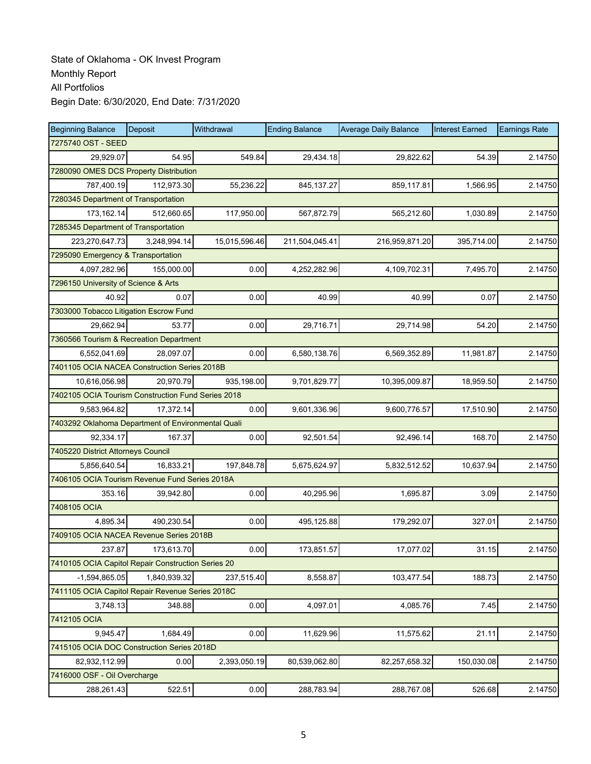| <b>Beginning Balance</b>                           | Deposit      | Withdrawal    | <b>Ending Balance</b> | <b>Average Daily Balance</b> | <b>Interest Earned</b> | <b>Earnings Rate</b> |
|----------------------------------------------------|--------------|---------------|-----------------------|------------------------------|------------------------|----------------------|
| 7275740 OST - SEED                                 |              |               |                       |                              |                        |                      |
| 29,929.07                                          | 54.95        | 549.84        | 29,434.18             | 29,822.62                    | 54.39                  | 2.14750              |
| 7280090 OMES DCS Property Distribution             |              |               |                       |                              |                        |                      |
| 787,400.19                                         | 112,973.30   | 55,236.22     | 845, 137.27           | 859,117.81                   | 1,566.95               | 2.14750              |
| 7280345 Department of Transportation               |              |               |                       |                              |                        |                      |
| 173, 162. 14                                       | 512,660.65   | 117,950.00    | 567,872.79            | 565,212.60                   | 1,030.89               | 2.14750              |
| 7285345 Department of Transportation               |              |               |                       |                              |                        |                      |
| 223,270,647.73                                     | 3,248,994.14 | 15,015,596.46 | 211,504,045.41        | 216,959,871.20               | 395,714.00             | 2.14750              |
| 7295090 Emergency & Transportation                 |              |               |                       |                              |                        |                      |
| 4,097,282.96                                       | 155,000.00   | 0.00          | 4,252,282.96          | 4,109,702.31                 | 7,495.70               | 2.14750              |
| 7296150 University of Science & Arts               |              |               |                       |                              |                        |                      |
| 40.92                                              | 0.07         | 0.00          | 40.99                 | 40.99                        | 0.07                   | 2.14750              |
| 7303000 Tobacco Litigation Escrow Fund             |              |               |                       |                              |                        |                      |
| 29,662.94                                          | 53.77        | 0.00          | 29,716.71             | 29,714.98                    | 54.20                  | 2.14750              |
| 7360566 Tourism & Recreation Department            |              |               |                       |                              |                        |                      |
| 6,552,041.69                                       | 28,097.07    | 0.00          | 6,580,138.76          | 6,569,352.89                 | 11,981.87              | 2.14750              |
| 7401105 OCIA NACEA Construction Series 2018B       |              |               |                       |                              |                        |                      |
| 10,616,056.98                                      | 20.970.79    | 935,198.00    | 9,701,829.77          | 10,395,009.87                | 18,959.50              | 2.14750              |
| 7402105 OCIA Tourism Construction Fund Series 2018 |              |               |                       |                              |                        |                      |
| 9,583,964.82                                       | 17,372.14    | 0.00          | 9,601,336.96          | 9,600,776.57                 | 17,510.90              | 2.14750              |
| 7403292 Oklahoma Department of Environmental Quali |              |               |                       |                              |                        |                      |
| 92,334.17                                          | 167.37       | 0.00          | 92,501.54             | 92,496.14                    | 168.70                 | 2.14750              |
| 7405220 District Attorneys Council                 |              |               |                       |                              |                        |                      |
| 5,856,640.54                                       | 16,833.21    | 197,848.78    | 5,675,624.97          | 5,832,512.52                 | 10,637.94              | 2.14750              |
| 7406105 OCIA Tourism Revenue Fund Series 2018A     |              |               |                       |                              |                        |                      |
| 353.16                                             | 39,942.80    | 0.00          | 40,295.96             | 1,695.87                     | 3.09                   | 2.14750              |
| 7408105 OCIA                                       |              |               |                       |                              |                        |                      |
| 4,895.34                                           | 490,230.54   | 0.00          | 495,125.88            | 179,292.07                   | 327.01                 | 2.14750              |
| 7409105 OCIA NACEA Revenue Series 2018B            |              |               |                       |                              |                        |                      |
| 237.87                                             | 173,613.70   | 0.00          | 173,851.57            | 17,077.02                    | 31.15                  | 2.14750              |
| 7410105 OCIA Capitol Repair Construction Series 20 |              |               |                       |                              |                        |                      |
| $-1,594,865.05$                                    | 1,840,939.32 | 237,515.40    | 8,558.87              | 103,477.54                   | 188.73                 | 2.14750              |
| 7411105 OCIA Capitol Repair Revenue Series 2018C   |              |               |                       |                              |                        |                      |
| 3,748.13                                           | 348.88       | 0.00          | 4,097.01              | 4,085.76                     | 7.45                   | 2.14750              |
| 7412105 OCIA                                       |              |               |                       |                              |                        |                      |
| 9,945.47                                           | 1,684.49     | 0.00          | 11,629.96             | 11,575.62                    | 21.11                  | 2.14750              |
| 7415105 OCIA DOC Construction Series 2018D         |              |               |                       |                              |                        |                      |
| 82,932,112.99                                      | 0.00         | 2,393,050.19  | 80,539,062.80         | 82,257,658.32                | 150,030.08             | 2.14750              |
| 7416000 OSF - Oil Overcharge                       |              |               |                       |                              |                        |                      |
| 288,261.43                                         | 522.51       | 0.00          | 288,783.94            | 288,767.08                   | 526.68                 | 2.14750              |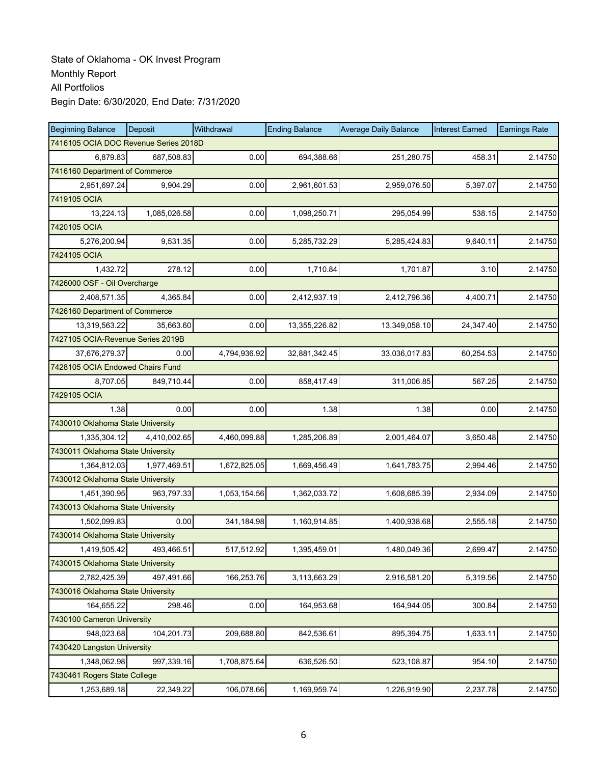| <b>Beginning Balance</b>              | <b>Deposit</b> | Withdrawal   | <b>Ending Balance</b> | <b>Average Daily Balance</b> | <b>Interest Earned</b> | <b>Earnings Rate</b> |
|---------------------------------------|----------------|--------------|-----------------------|------------------------------|------------------------|----------------------|
| 7416105 OCIA DOC Revenue Series 2018D |                |              |                       |                              |                        |                      |
| 6,879.83                              | 687,508.83     | 0.00         | 694,388.66            | 251,280.75                   | 458.31                 | 2.14750              |
| 7416160 Department of Commerce        |                |              |                       |                              |                        |                      |
| 2,951,697.24                          | 9,904.29       | 0.00         | 2,961,601.53          | 2,959,076.50                 | 5,397.07               | 2.14750              |
| 7419105 OCIA                          |                |              |                       |                              |                        |                      |
| 13,224.13                             | 1,085,026.58   | 0.00         | 1,098,250.71          | 295,054.99                   | 538.15                 | 2.14750              |
| 7420105 OCIA                          |                |              |                       |                              |                        |                      |
| 5,276,200.94                          | 9,531.35       | 0.00         | 5,285,732.29          | 5,285,424.83                 | 9,640.11               | 2.14750              |
| 7424105 OCIA                          |                |              |                       |                              |                        |                      |
| 1,432.72                              | 278.12         | 0.00         | 1,710.84              | 1,701.87                     | 3.10                   | 2.14750              |
| 7426000 OSF - Oil Overcharge          |                |              |                       |                              |                        |                      |
| 2,408,571.35                          | 4,365.84       | 0.00         | 2,412,937.19          | 2,412,796.36                 | 4,400.71               | 2.14750              |
| 7426160 Department of Commerce        |                |              |                       |                              |                        |                      |
| 13,319,563.22                         | 35,663.60      | 0.00         | 13,355,226.82         | 13,349,058.10                | 24,347.40              | 2.14750              |
| 7427105 OCIA-Revenue Series 2019B     |                |              |                       |                              |                        |                      |
| 37,676,279.37                         | 0.00           | 4,794,936.92 | 32,881,342.45         | 33,036,017.83                | 60,254.53              | 2.14750              |
| 7428105 OCIA Endowed Chairs Fund      |                |              |                       |                              |                        |                      |
| 8,707.05                              | 849.710.44     | 0.00         | 858,417.49            | 311,006.85                   | 567.25                 | 2.14750              |
| 7429105 OCIA                          |                |              |                       |                              |                        |                      |
| 1.38                                  | 0.00           | 0.00         | 1.38                  | 1.38                         | 0.00                   | 2.14750              |
| 7430010 Oklahoma State University     |                |              |                       |                              |                        |                      |
| 1,335,304.12                          | 4,410,002.65   | 4,460,099.88 | 1,285,206.89          | 2,001,464.07                 | 3,650.48               | 2.14750              |
| 7430011 Oklahoma State University     |                |              |                       |                              |                        |                      |
| 1,364,812.03                          | 1,977,469.51   | 1,672,825.05 | 1,669,456.49          | 1,641,783.75                 | 2,994.46               | 2.14750              |
| 7430012 Oklahoma State University     |                |              |                       |                              |                        |                      |
| 1,451,390.95                          | 963,797.33     | 1,053,154.56 | 1,362,033.72          | 1,608,685.39                 | 2,934.09               | 2.14750              |
| 7430013 Oklahoma State University     |                |              |                       |                              |                        |                      |
| 1,502,099.83                          | 0.00           | 341,184.98   | 1,160,914.85          | 1,400,938.68                 | 2,555.18               | 2.14750              |
| 7430014 Oklahoma State University     |                |              |                       |                              |                        |                      |
| 1,419,505.42                          | 493,466.51     | 517,512.92   | 1.395.459.01          | 1,480,049.36                 | 2,699.47               | 2.14750              |
| 7430015 Oklahoma State University     |                |              |                       |                              |                        |                      |
| 2,782,425.39                          | 497,491.66     | 166,253.76   | 3,113,663.29          | 2,916,581.20                 | 5,319.56               | 2.14750              |
| 7430016 Oklahoma State University     |                |              |                       |                              |                        |                      |
| 164,655.22                            | 298.46         | 0.00         | 164,953.68            | 164,944.05                   | 300.84                 | 2.14750              |
| 7430100 Cameron University            |                |              |                       |                              |                        |                      |
| 948,023.68                            | 104,201.73     | 209,688.80   | 842,536.61            | 895,394.75                   | 1,633.11               | 2.14750              |
| 7430420 Langston University           |                |              |                       |                              |                        |                      |
| 1,348,062.98                          | 997,339.16     | 1,708,875.64 | 636,526.50            | 523,108.87                   | 954.10                 | 2.14750              |
| 7430461 Rogers State College          |                |              |                       |                              |                        |                      |
| 1,253,689.18                          | 22,349.22      | 106,078.66   | 1,169,959.74          | 1,226,919.90                 | 2,237.78               | 2.14750              |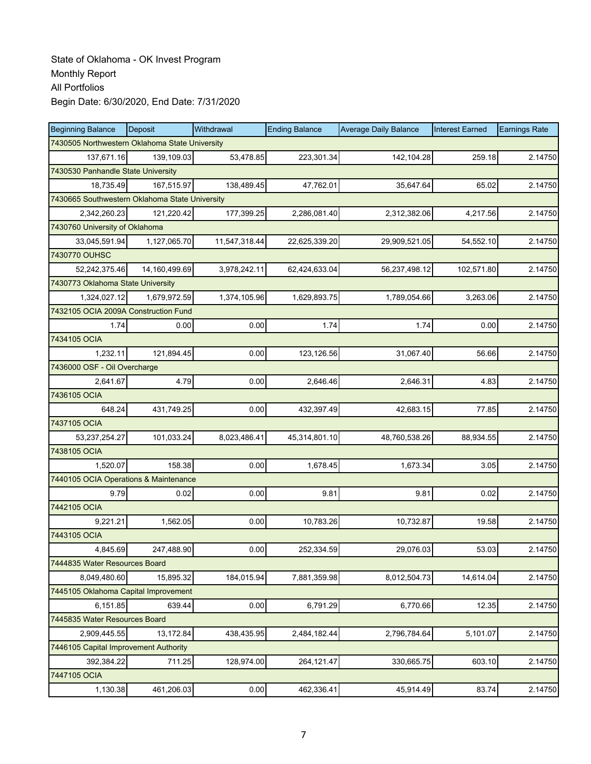| <b>Beginning Balance</b>                       | Deposit                                        | Withdrawal    | <b>Ending Balance</b> | <b>Average Daily Balance</b> | <b>Interest Earned</b> | <b>Earnings Rate</b> |  |  |  |
|------------------------------------------------|------------------------------------------------|---------------|-----------------------|------------------------------|------------------------|----------------------|--|--|--|
| 7430505 Northwestern Oklahoma State University |                                                |               |                       |                              |                        |                      |  |  |  |
| 137,671.16                                     | 139,109.03                                     | 53.478.85     | 223,301.34            | 142,104.28                   | 259.18                 | 2.14750              |  |  |  |
| 7430530 Panhandle State University             |                                                |               |                       |                              |                        |                      |  |  |  |
| 18,735.49                                      | 167,515.97                                     | 138,489.45    | 47,762.01             | 35,647.64                    | 65.02                  | 2.14750              |  |  |  |
|                                                | 7430665 Southwestern Oklahoma State University |               |                       |                              |                        |                      |  |  |  |
| 2,342,260.23                                   | 121,220.42                                     | 177,399.25    | 2,286,081.40          | 2,312,382.06                 | 4,217.56               | 2.14750              |  |  |  |
| 7430760 University of Oklahoma                 |                                                |               |                       |                              |                        |                      |  |  |  |
| 33,045,591.94                                  | 1,127,065.70                                   | 11,547,318.44 | 22,625,339.20         | 29,909,521.05                | 54,552.10              | 2.14750              |  |  |  |
| 7430770 OUHSC                                  |                                                |               |                       |                              |                        |                      |  |  |  |
| 52,242,375.46                                  | 14,160,499.69                                  | 3,978,242.11  | 62,424,633.04         | 56,237,498.12                | 102,571.80             | 2.14750              |  |  |  |
| 7430773 Oklahoma State University              |                                                |               |                       |                              |                        |                      |  |  |  |
| 1,324,027.12                                   | 1,679,972.59                                   | 1,374,105.96  | 1,629,893.75          | 1,789,054.66                 | 3,263.06               | 2.14750              |  |  |  |
| 7432105 OCIA 2009A Construction Fund           |                                                |               |                       |                              |                        |                      |  |  |  |
| 1.74                                           | 0.00                                           | 0.00          | 1.74                  | 1.74                         | 0.00                   | 2.14750              |  |  |  |
| 7434105 OCIA                                   |                                                |               |                       |                              |                        |                      |  |  |  |
| 1,232.11                                       | 121,894.45                                     | 0.00          | 123,126.56            | 31,067.40                    | 56.66                  | 2.14750              |  |  |  |
| 7436000 OSF - Oil Overcharge                   |                                                |               |                       |                              |                        |                      |  |  |  |
| 2,641.67                                       | 4.79                                           | 0.00          | 2,646.46              | 2.646.31                     | 4.83                   | 2.14750              |  |  |  |
| 7436105 OCIA                                   |                                                |               |                       |                              |                        |                      |  |  |  |
| 648.24                                         | 431,749.25                                     | 0.00          | 432,397.49            | 42,683.15                    | 77.85                  | 2.14750              |  |  |  |
| 7437105 OCIA                                   |                                                |               |                       |                              |                        |                      |  |  |  |
| 53,237,254.27                                  | 101,033.24                                     | 8,023,486.41  | 45,314,801.10         | 48,760,538.26                | 88,934.55              | 2.14750              |  |  |  |
| 7438105 OCIA                                   |                                                |               |                       |                              |                        |                      |  |  |  |
| 1,520.07                                       | 158.38                                         | 0.00          | 1,678.45              | 1,673.34                     | 3.05                   | 2.14750              |  |  |  |
| 7440105 OCIA Operations & Maintenance          |                                                |               |                       |                              |                        |                      |  |  |  |
| 9.79                                           | 0.02                                           | 0.00          | 9.81                  | 9.81                         | 0.02                   | 2.14750              |  |  |  |
| 7442105 OCIA                                   |                                                |               |                       |                              |                        |                      |  |  |  |
| 9,221.21                                       | 1,562.05                                       | 0.00          | 10,783.26             | 10,732.87                    | 19.58                  | 2.14750              |  |  |  |
| 7443105 OCIA                                   |                                                |               |                       |                              |                        |                      |  |  |  |
| 4,845.69                                       | 247,488.90                                     | 0.00          | 252,334.59            | 29,076.03                    | 53.03                  | 2.14750              |  |  |  |
| 7444835 Water Resources Board                  |                                                |               |                       |                              |                        |                      |  |  |  |
| 8,049,480.60                                   | 15,895.32                                      | 184,015.94    | 7,881,359.98          | 8,012,504.73                 | 14,614.04              | 2.14750              |  |  |  |
| 7445105 Oklahoma Capital Improvement           |                                                |               |                       |                              |                        |                      |  |  |  |
| 6,151.85                                       | 639.44                                         | 0.00          | 6,791.29              | 6,770.66                     | 12.35                  | 2.14750              |  |  |  |
| 7445835 Water Resources Board                  |                                                |               |                       |                              |                        |                      |  |  |  |
| 2,909,445.55                                   | 13,172.84                                      | 438,435.95    | 2,484,182.44          | 2,796,784.64                 | 5,101.07               | 2.14750              |  |  |  |
| 7446105 Capital Improvement Authority          |                                                |               |                       |                              |                        |                      |  |  |  |
| 392,384.22                                     | 711.25                                         | 128,974.00    | 264,121.47            | 330,665.75                   | 603.10                 | 2.14750              |  |  |  |
| 7447105 OCIA                                   |                                                |               |                       |                              |                        |                      |  |  |  |
| 1,130.38                                       | 461,206.03                                     | 0.00          | 462,336.41            | 45,914.49                    | 83.74                  | 2.14750              |  |  |  |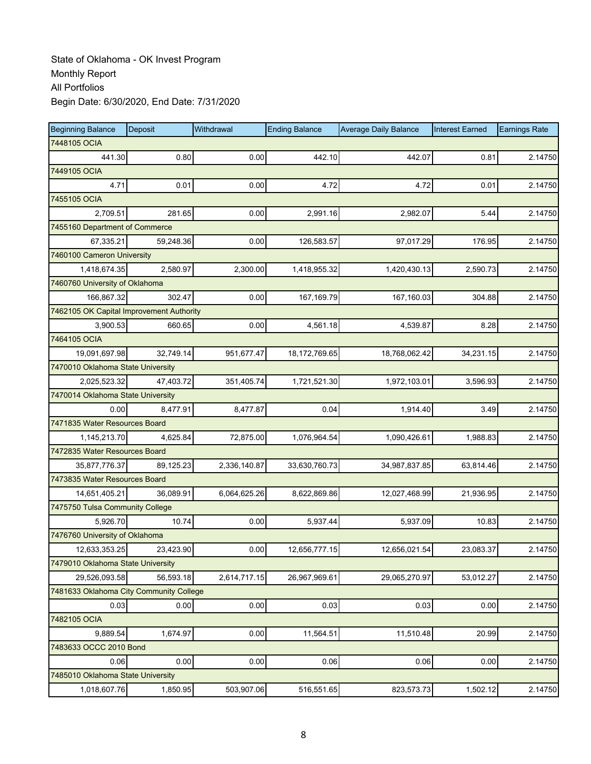| <b>Beginning Balance</b>                 | Deposit   | Withdrawal   | <b>Ending Balance</b> | <b>Average Daily Balance</b> | <b>Interest Earned</b> | <b>Earnings Rate</b> |
|------------------------------------------|-----------|--------------|-----------------------|------------------------------|------------------------|----------------------|
| 7448105 OCIA                             |           |              |                       |                              |                        |                      |
| 441.30                                   | 0.80      | 0.00         | 442.10                | 442.07                       | 0.81                   | 2.14750              |
| 7449105 OCIA                             |           |              |                       |                              |                        |                      |
| 4.71                                     | 0.01      | 0.00         | 4.72                  | 4.72                         | 0.01                   | 2.14750              |
| 7455105 OCIA                             |           |              |                       |                              |                        |                      |
| 2,709.51                                 | 281.65    | 0.00         | 2,991.16              | 2,982.07                     | 5.44                   | 2.14750              |
| 7455160 Department of Commerce           |           |              |                       |                              |                        |                      |
| 67,335.21                                | 59,248.36 | 0.00         | 126,583.57            | 97,017.29                    | 176.95                 | 2.14750              |
| 7460100 Cameron University               |           |              |                       |                              |                        |                      |
| 1,418,674.35                             | 2,580.97  | 2,300.00     | 1,418,955.32          | 1,420,430.13                 | 2,590.73               | 2.14750              |
| 7460760 University of Oklahoma           |           |              |                       |                              |                        |                      |
| 166,867.32                               | 302.47    | 0.00         | 167,169.79            | 167,160.03                   | 304.88                 | 2.14750              |
| 7462105 OK Capital Improvement Authority |           |              |                       |                              |                        |                      |
| 3,900.53                                 | 660.65    | 0.00         | 4,561.18              | 4,539.87                     | 8.28                   | 2.14750              |
| 7464105 OCIA                             |           |              |                       |                              |                        |                      |
| 19,091,697.98                            | 32,749.14 | 951,677.47   | 18,172,769.65         | 18,768,062.42                | 34,231.15              | 2.14750              |
| 7470010 Oklahoma State University        |           |              |                       |                              |                        |                      |
| 2,025,523.32                             | 47.403.72 | 351,405.74   | 1,721,521.30          | 1,972,103.01                 | 3,596.93               | 2.14750              |
| 7470014 Oklahoma State University        |           |              |                       |                              |                        |                      |
| 0.00                                     | 8,477.91  | 8,477.87     | 0.04                  | 1,914.40                     | 3.49                   | 2.14750              |
| 7471835 Water Resources Board            |           |              |                       |                              |                        |                      |
| 1,145,213.70                             | 4,625.84  | 72,875.00    | 1,076,964.54          | 1,090,426.61                 | 1,988.83               | 2.14750              |
| 7472835 Water Resources Board            |           |              |                       |                              |                        |                      |
| 35,877,776.37                            | 89,125.23 | 2,336,140.87 | 33,630,760.73         | 34,987,837.85                | 63,814.46              | 2.14750              |
| 7473835 Water Resources Board            |           |              |                       |                              |                        |                      |
| 14,651,405.21                            | 36,089.91 | 6,064,625.26 | 8,622,869.86          | 12,027,468.99                | 21,936.95              | 2.14750              |
| 7475750 Tulsa Community College          |           |              |                       |                              |                        |                      |
| 5,926.70                                 | 10.74     | 0.00         | 5,937.44              | 5,937.09                     | 10.83                  | 2.14750              |
| 7476760 University of Oklahoma           |           |              |                       |                              |                        |                      |
| 12,633,353.25                            | 23,423.90 | 0.00         | 12,656,777.15         | 12,656,021.54                | 23,083.37              | 2.14750              |
| 7479010 Oklahoma State University        |           |              |                       |                              |                        |                      |
| 29,526,093.58                            | 56,593.18 | 2,614,717.15 | 26,967,969.61         | 29,065,270.97                | 53,012.27              | 2.14750              |
| 7481633 Oklahoma City Community College  |           |              |                       |                              |                        |                      |
| 0.03                                     | 0.00      | 0.00         | 0.03                  | 0.03                         | 0.00                   | 2.14750              |
| 7482105 OCIA                             |           |              |                       |                              |                        |                      |
| 9,889.54                                 | 1,674.97  | 0.00         | 11,564.51             | 11,510.48                    | 20.99                  | 2.14750              |
| 7483633 OCCC 2010 Bond                   |           |              |                       |                              |                        |                      |
| 0.06                                     | 0.00      | 0.00         | 0.06                  | 0.06                         | 0.00                   | 2.14750              |
| 7485010 Oklahoma State University        |           |              |                       |                              |                        |                      |
| 1,018,607.76                             | 1,850.95  | 503,907.06   | 516,551.65            | 823,573.73                   | 1,502.12               | 2.14750              |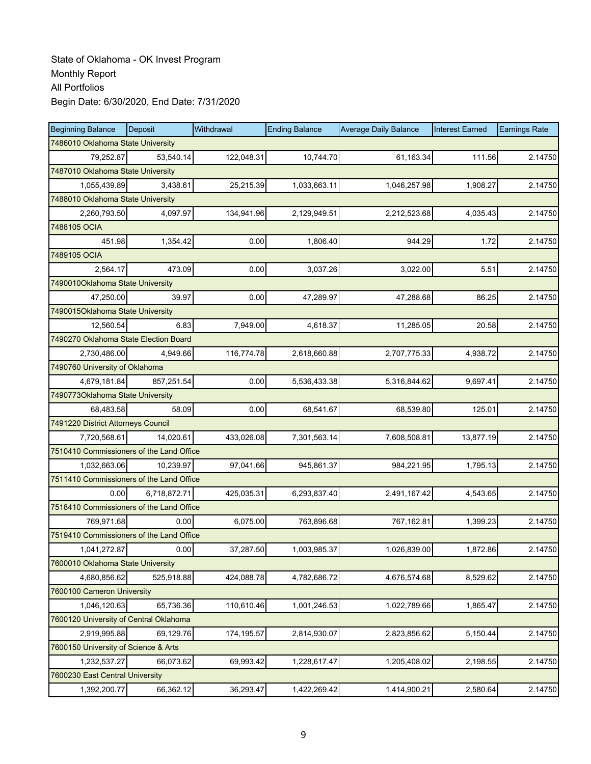| <b>Beginning Balance</b>                 | Deposit      | Withdrawal | <b>Ending Balance</b> | <b>Average Daily Balance</b> | <b>Interest Earned</b> | <b>Earnings Rate</b> |
|------------------------------------------|--------------|------------|-----------------------|------------------------------|------------------------|----------------------|
| 7486010 Oklahoma State University        |              |            |                       |                              |                        |                      |
| 79.252.87                                | 53.540.14    | 122,048.31 | 10,744.70             | 61,163.34                    | 111.56                 | 2.14750              |
| 7487010 Oklahoma State University        |              |            |                       |                              |                        |                      |
| 1,055,439.89                             | 3,438.61     | 25,215.39  | 1,033,663.11          | 1,046,257.98                 | 1,908.27               | 2.14750              |
| 7488010 Oklahoma State University        |              |            |                       |                              |                        |                      |
| 2,260,793.50                             | 4,097.97     | 134,941.96 | 2,129,949.51          | 2,212,523.68                 | 4,035.43               | 2.14750              |
| 7488105 OCIA                             |              |            |                       |                              |                        |                      |
| 451.98                                   | 1,354.42     | 0.00       | 1,806.40              | 944.29                       | 1.72                   | 2.14750              |
| 7489105 OCIA                             |              |            |                       |                              |                        |                      |
| 2,564.17                                 | 473.09       | 0.00       | 3,037.26              | 3,022.00                     | 5.51                   | 2.14750              |
| 7490010Oklahoma State University         |              |            |                       |                              |                        |                      |
| 47,250.00                                | 39.97        | 0.00       | 47,289.97             | 47,288.68                    | 86.25                  | 2.14750              |
| 7490015Oklahoma State University         |              |            |                       |                              |                        |                      |
| 12,560.54                                | 6.83         | 7,949.00   | 4,618.37              | 11,285.05                    | 20.58                  | 2.14750              |
| 7490270 Oklahoma State Election Board    |              |            |                       |                              |                        |                      |
| 2,730,486.00                             | 4,949.66     | 116,774.78 | 2,618,660.88          | 2,707,775.33                 | 4,938.72               | 2.14750              |
| 7490760 University of Oklahoma           |              |            |                       |                              |                        |                      |
| 4,679,181.84                             | 857,251.54   | 0.00       | 5,536,433.38          | 5,316,844.62                 | 9,697.41               | 2.14750              |
| 7490773Oklahoma State University         |              |            |                       |                              |                        |                      |
| 68,483.58                                | 58.09        | 0.00       | 68,541.67             | 68,539.80                    | 125.01                 | 2.14750              |
| 7491220 District Attorneys Council       |              |            |                       |                              |                        |                      |
| 7,720,568.61                             | 14,020.61    | 433,026.08 | 7,301,563.14          | 7,608,508.81                 | 13,877.19              | 2.14750              |
| 7510410 Commissioners of the Land Office |              |            |                       |                              |                        |                      |
| 1,032,663.06                             | 10,239.97    | 97,041.66  | 945,861.37            | 984,221.95                   | 1,795.13               | 2.14750              |
| 7511410 Commissioners of the Land Office |              |            |                       |                              |                        |                      |
| 0.00                                     | 6,718,872.71 | 425,035.31 | 6,293,837.40          | 2,491,167.42                 | 4,543.65               | 2.14750              |
| 7518410 Commissioners of the Land Office |              |            |                       |                              |                        |                      |
| 769,971.68                               | 0.00         | 6,075.00   | 763,896.68            | 767,162.81                   | 1,399.23               | 2.14750              |
| 7519410 Commissioners of the Land Office |              |            |                       |                              |                        |                      |
| 1,041,272.87                             | 0.00         | 37,287.50  | 1.003.985.37          | 1,026,839.00                 | 1,872.86               | 2.14750              |
| 7600010 Oklahoma State University        |              |            |                       |                              |                        |                      |
| 4,680,856.62                             | 525,918.88   | 424,088.78 | 4,782,686.72          | 4,676,574.68                 | 8,529.62               | 2.14750              |
| 7600100 Cameron University               |              |            |                       |                              |                        |                      |
| 1,046,120.63                             | 65,736.36    | 110,610.46 | 1,001,246.53          | 1,022,789.66                 | 1,865.47               | 2.14750              |
| 7600120 University of Central Oklahoma   |              |            |                       |                              |                        |                      |
| 2,919,995.88                             | 69,129.76    | 174,195.57 | 2,814,930.07          | 2,823,856.62                 | 5,150.44               | 2.14750              |
| 7600150 University of Science & Arts     |              |            |                       |                              |                        |                      |
| 1,232,537.27                             | 66,073.62    | 69,993.42  | 1,228,617.47          | 1,205,408.02                 | 2,198.55               | 2.14750              |
| 7600230 East Central University          |              |            |                       |                              |                        |                      |
| 1,392,200.77                             | 66,362.12    | 36,293.47  | 1,422,269.42          | 1,414,900.21                 | 2,580.64               | 2.14750              |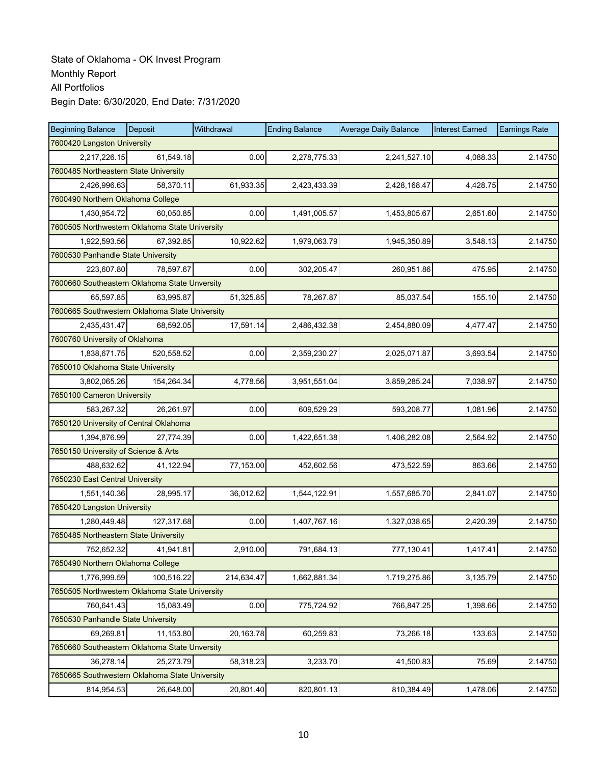| <b>Beginning Balance</b>                       | Deposit    | Withdrawal | <b>Ending Balance</b> | <b>Average Daily Balance</b> | <b>Interest Earned</b> | <b>Earnings Rate</b> |  |  |  |
|------------------------------------------------|------------|------------|-----------------------|------------------------------|------------------------|----------------------|--|--|--|
| 7600420 Langston University                    |            |            |                       |                              |                        |                      |  |  |  |
| 2,217,226.15                                   | 61,549.18  | 0.00       | 2,278,775.33          | 2,241,527.10                 | 4,088.33               | 2.14750              |  |  |  |
| 7600485 Northeastern State University          |            |            |                       |                              |                        |                      |  |  |  |
| 2,426,996.63                                   | 58,370.11  | 61,933.35  | 2,423,433.39          | 2,428,168.47                 | 4,428.75               | 2.14750              |  |  |  |
| 7600490 Northern Oklahoma College              |            |            |                       |                              |                        |                      |  |  |  |
| 1,430,954.72                                   | 60,050.85  | 0.00       | 1,491,005.57          | 1,453,805.67                 | 2,651.60               | 2.14750              |  |  |  |
| 7600505 Northwestern Oklahoma State University |            |            |                       |                              |                        |                      |  |  |  |
| 1,922,593.56                                   | 67,392.85  | 10,922.62  | 1,979,063.79          | 1,945,350.89                 | 3,548.13               | 2.14750              |  |  |  |
| 7600530 Panhandle State University             |            |            |                       |                              |                        |                      |  |  |  |
| 223,607.80                                     | 78,597.67  | 0.00       | 302,205.47            | 260,951.86                   | 475.95                 | 2.14750              |  |  |  |
| 7600660 Southeastern Oklahoma State Unversity  |            |            |                       |                              |                        |                      |  |  |  |
| 65,597.85                                      | 63,995.87  | 51,325.85  | 78,267.87             | 85,037.54                    | 155.10                 | 2.14750              |  |  |  |
| 7600665 Southwestern Oklahoma State University |            |            |                       |                              |                        |                      |  |  |  |
| 2,435,431.47                                   | 68,592.05  | 17,591.14  | 2,486,432.38          | 2,454,880.09                 | 4,477.47               | 2.14750              |  |  |  |
| 7600760 University of Oklahoma                 |            |            |                       |                              |                        |                      |  |  |  |
| 1,838,671.75                                   | 520,558.52 | 0.00       | 2,359,230.27          | 2,025,071.87                 | 3.693.54               | 2.14750              |  |  |  |
| 7650010 Oklahoma State University              |            |            |                       |                              |                        |                      |  |  |  |
| 3,802,065.26                                   | 154,264.34 | 4,778.56   | 3,951,551.04          | 3,859,285.24                 | 7,038.97               | 2.14750              |  |  |  |
| 7650100 Cameron University                     |            |            |                       |                              |                        |                      |  |  |  |
| 583,267.32                                     | 26,261.97  | 0.00       | 609,529.29            | 593,208.77                   | 1,081.96               | 2.14750              |  |  |  |
| 7650120 University of Central Oklahoma         |            |            |                       |                              |                        |                      |  |  |  |
| 1,394,876.99                                   | 27,774.39  | 0.00       | 1,422,651.38          | 1,406,282.08                 | 2,564.92               | 2.14750              |  |  |  |
| 7650150 University of Science & Arts           |            |            |                       |                              |                        |                      |  |  |  |
| 488,632.62                                     | 41,122.94  | 77,153.00  | 452,602.56            | 473,522.59                   | 863.66                 | 2.14750              |  |  |  |
| 7650230 East Central University                |            |            |                       |                              |                        |                      |  |  |  |
| 1,551,140.36                                   | 28,995.17  | 36,012.62  | 1,544,122.91          | 1,557,685.70                 | 2,841.07               | 2.14750              |  |  |  |
| 7650420 Langston University                    |            |            |                       |                              |                        |                      |  |  |  |
| 1,280,449.48                                   | 127,317.68 | 0.00       | 1,407,767.16          | 1,327,038.65                 | 2,420.39               | 2.14750              |  |  |  |
| 7650485 Northeastern State University          |            |            |                       |                              |                        |                      |  |  |  |
| 752,652.32                                     | 41,941.81  | 2,910.00   | 791,684.13            | 777,130.41                   | 1,417.41               | 2.14750              |  |  |  |
| 7650490 Northern Oklahoma College              |            |            |                       |                              |                        |                      |  |  |  |
| 1,776,999.59                                   | 100,516.22 | 214,634.47 | 1,662,881.34          | 1,719,275.86                 | 3,135.79               | 2.14750              |  |  |  |
| 7650505 Northwestern Oklahoma State University |            |            |                       |                              |                        |                      |  |  |  |
| 760,641.43                                     | 15,083.49  | 0.00       | 775,724.92            | 766,847.25                   | 1,398.66               | 2.14750              |  |  |  |
| 7650530 Panhandle State University             |            |            |                       |                              |                        |                      |  |  |  |
| 69,269.81                                      | 11,153.80  | 20,163.78  | 60,259.83             | 73,266.18                    | 133.63                 | 2.14750              |  |  |  |
| 7650660 Southeastern Oklahoma State Unversity  |            |            |                       |                              |                        |                      |  |  |  |
| 36,278.14                                      | 25,273.79  | 58,318.23  | 3,233.70              | 41,500.83                    | 75.69                  | 2.14750              |  |  |  |
| 7650665 Southwestern Oklahoma State University |            |            |                       |                              |                        |                      |  |  |  |
| 814,954.53                                     | 26,648.00  | 20,801.40  | 820,801.13            | 810,384.49                   | 1,478.06               | 2.14750              |  |  |  |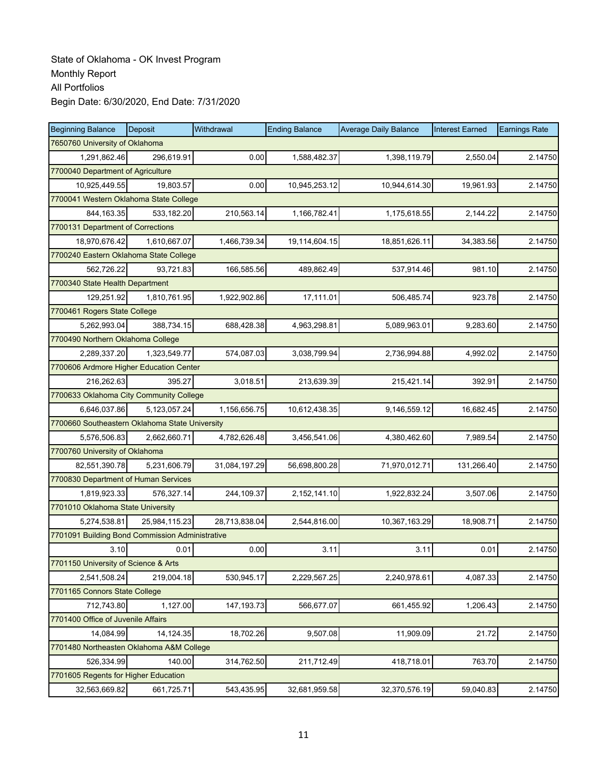| <b>Beginning Balance</b>                        | Deposit        | Withdrawal    | <b>Ending Balance</b> | <b>Average Daily Balance</b> | <b>Interest Earned</b> | <b>Earnings Rate</b> |  |  |
|-------------------------------------------------|----------------|---------------|-----------------------|------------------------------|------------------------|----------------------|--|--|
| 7650760 University of Oklahoma                  |                |               |                       |                              |                        |                      |  |  |
| 1,291,862.46                                    | 296,619.91     | 0.00          | 1,588,482.37          | 1,398,119.79                 | 2,550.04               | 2.14750              |  |  |
| 7700040 Department of Agriculture               |                |               |                       |                              |                        |                      |  |  |
| 10,925,449.55                                   | 19,803.57      | 0.00          | 10,945,253.12         | 10,944,614.30                | 19,961.93              | 2.14750              |  |  |
| 7700041 Western Oklahoma State College          |                |               |                       |                              |                        |                      |  |  |
| 844, 163. 35                                    | 533,182.20     | 210,563.14    | 1,166,782.41          | 1,175,618.55                 | 2,144.22               | 2.14750              |  |  |
| 7700131 Department of Corrections               |                |               |                       |                              |                        |                      |  |  |
| 18,970,676.42                                   | 1,610,667.07   | 1,466,739.34  | 19,114,604.15         | 18,851,626.11                | 34,383.56              | 2.14750              |  |  |
| 7700240 Eastern Oklahoma State College          |                |               |                       |                              |                        |                      |  |  |
| 562,726.22                                      | 93,721.83      | 166,585.56    | 489,862.49            | 537,914.46                   | 981.10                 | 2.14750              |  |  |
| 7700340 State Health Department                 |                |               |                       |                              |                        |                      |  |  |
| 129,251.92                                      | 1,810,761.95   | 1,922,902.86  | 17,111.01             | 506,485.74                   | 923.78                 | 2.14750              |  |  |
| 7700461 Rogers State College                    |                |               |                       |                              |                        |                      |  |  |
| 5,262,993.04                                    | 388,734.15     | 688,428.38    | 4,963,298.81          | 5,089,963.01                 | 9,283.60               | 2.14750              |  |  |
| 7700490 Northern Oklahoma College               |                |               |                       |                              |                        |                      |  |  |
| 2,289,337.20                                    | 1,323,549.77   | 574,087.03    | 3,038,799.94          | 2,736,994.88                 | 4,992.02               | 2.14750              |  |  |
| 7700606 Ardmore Higher Education Center         |                |               |                       |                              |                        |                      |  |  |
| 216,262.63                                      | 395.27         | 3,018.51      | 213,639.39            | 215,421.14                   | 392.91                 | 2.14750              |  |  |
| 7700633 Oklahoma City Community College         |                |               |                       |                              |                        |                      |  |  |
| 6,646,037.86                                    | 5, 123, 057.24 | 1,156,656.75  | 10,612,438.35         | 9,146,559.12                 | 16,682.45              | 2.14750              |  |  |
| 7700660 Southeastern Oklahoma State University  |                |               |                       |                              |                        |                      |  |  |
| 5,576,506.83                                    | 2,662,660.71   | 4,782,626.48  | 3,456,541.06          | 4,380,462.60                 | 7,989.54               | 2.14750              |  |  |
| 7700760 University of Oklahoma                  |                |               |                       |                              |                        |                      |  |  |
| 82,551,390.78                                   | 5,231,606.79   | 31,084,197.29 | 56,698,800.28         | 71,970,012.71                | 131,266.40             | 2.14750              |  |  |
| 7700830 Department of Human Services            |                |               |                       |                              |                        |                      |  |  |
| 1,819,923.33                                    | 576,327.14     | 244,109.37    | 2,152,141.10          | 1,922,832.24                 | 3,507.06               | 2.14750              |  |  |
| 7701010 Oklahoma State University               |                |               |                       |                              |                        |                      |  |  |
| 5,274,538.81                                    | 25,984,115.23  | 28,713,838.04 | 2,544,816.00          | 10,367,163.29                | 18,908.71              | 2.14750              |  |  |
| 7701091 Building Bond Commission Administrative |                |               |                       |                              |                        |                      |  |  |
| 3.10                                            | 0.01           | 0.00          | 3.11                  | 3.11                         | 0.01                   | 2.14750              |  |  |
| 7701150 University of Science & Arts            |                |               |                       |                              |                        |                      |  |  |
| 2,541,508.24                                    | 219,004.18     | 530,945.17    | 2,229,567.25          | 2,240,978.61                 | 4,087.33               | 2.14750              |  |  |
| 7701165 Connors State College                   |                |               |                       |                              |                        |                      |  |  |
| 712,743.80                                      | 1,127.00       | 147, 193. 73  | 566,677.07            | 661,455.92                   | 1,206.43               | 2.14750              |  |  |
| 7701400 Office of Juvenile Affairs              |                |               |                       |                              |                        |                      |  |  |
| 14,084.99                                       | 14,124.35      | 18,702.26     | 9,507.08              | 11,909.09                    | 21.72                  | 2.14750              |  |  |
| 7701480 Northeasten Oklahoma A&M College        |                |               |                       |                              |                        |                      |  |  |
| 526,334.99                                      | 140.00         | 314,762.50    | 211,712.49            | 418,718.01                   | 763.70                 | 2.14750              |  |  |
| 7701605 Regents for Higher Education            |                |               |                       |                              |                        |                      |  |  |
| 32,563,669.82                                   | 661,725.71     | 543,435.95    | 32,681,959.58         | 32,370,576.19                | 59,040.83              | 2.14750              |  |  |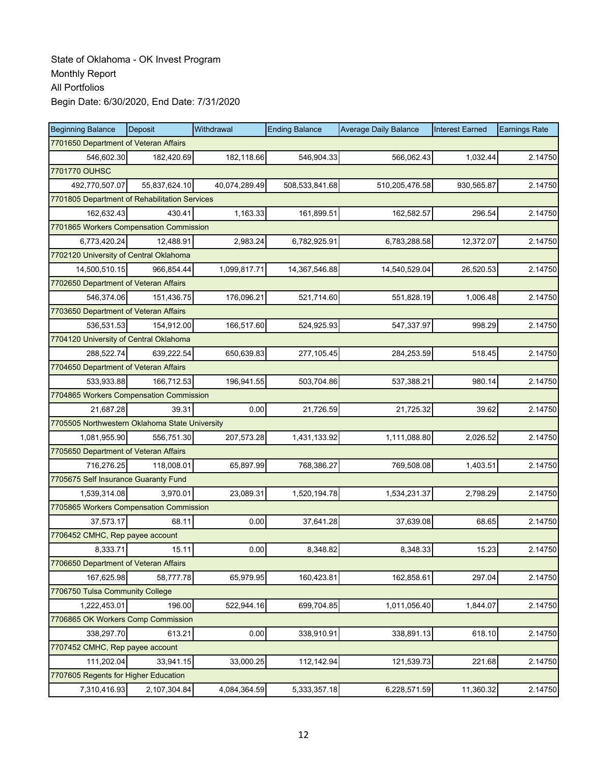| <b>Beginning Balance</b>                       | Deposit       | Withdrawal    | <b>Ending Balance</b> | <b>Average Daily Balance</b> | <b>Interest Earned</b> | <b>Earnings Rate</b> |
|------------------------------------------------|---------------|---------------|-----------------------|------------------------------|------------------------|----------------------|
| 7701650 Department of Veteran Affairs          |               |               |                       |                              |                        |                      |
| 546,602.30                                     | 182,420.69    | 182,118.66    | 546,904.33            | 566,062.43                   | 1,032.44               | 2.14750              |
| 7701770 OUHSC                                  |               |               |                       |                              |                        |                      |
| 492,770,507.07                                 | 55,837,624.10 | 40,074,289.49 | 508,533,841.68        | 510,205,476.58               | 930,565.87             | 2.14750              |
| 7701805 Department of Rehabilitation Services  |               |               |                       |                              |                        |                      |
| 162,632.43                                     | 430.41        | 1,163.33      | 161,899.51            | 162,582.57                   | 296.54                 | 2.14750              |
| 7701865 Workers Compensation Commission        |               |               |                       |                              |                        |                      |
| 6,773,420.24                                   | 12,488.91     | 2,983.24      | 6,782,925.91          | 6,783,288.58                 | 12,372.07              | 2.14750              |
| 7702120 University of Central Oklahoma         |               |               |                       |                              |                        |                      |
| 14,500,510.15                                  | 966,854.44    | 1,099,817.71  | 14,367,546.88         | 14,540,529.04                | 26,520.53              | 2.14750              |
| 7702650 Department of Veteran Affairs          |               |               |                       |                              |                        |                      |
| 546,374.06                                     | 151,436.75    | 176,096.21    | 521,714.60            | 551,828.19                   | 1,006.48               | 2.14750              |
| 7703650 Department of Veteran Affairs          |               |               |                       |                              |                        |                      |
| 536,531.53                                     | 154,912.00    | 166,517.60    | 524,925.93            | 547,337.97                   | 998.29                 | 2.14750              |
| 7704120 University of Central Oklahoma         |               |               |                       |                              |                        |                      |
| 288,522.74                                     | 639,222.54    | 650,639.83    | 277,105.45            | 284,253.59                   | 518.45                 | 2.14750              |
| 7704650 Department of Veteran Affairs          |               |               |                       |                              |                        |                      |
| 533.933.88                                     | 166,712.53    | 196,941.55    | 503,704.86            | 537,388.21                   | 980.14                 | 2.14750              |
| 7704865 Workers Compensation Commission        |               |               |                       |                              |                        |                      |
| 21,687.28                                      | 39.31         | 0.00          | 21,726.59             | 21,725.32                    | 39.62                  | 2.14750              |
| 7705505 Northwestern Oklahoma State University |               |               |                       |                              |                        |                      |
| 1,081,955.90                                   | 556,751.30    | 207,573.28    | 1,431,133.92          | 1,111,088.80                 | 2,026.52               | 2.14750              |
| 7705650 Department of Veteran Affairs          |               |               |                       |                              |                        |                      |
| 716,276.25                                     | 118,008.01    | 65,897.99     | 768,386.27            | 769,508.08                   | 1,403.51               | 2.14750              |
| 7705675 Self Insurance Guaranty Fund           |               |               |                       |                              |                        |                      |
| 1,539,314.08                                   | 3,970.01      | 23,089.31     | 1,520,194.78          | 1,534,231.37                 | 2,798.29               | 2.14750              |
| 7705865 Workers Compensation Commission        |               |               |                       |                              |                        |                      |
| 37,573.17                                      | 68.11         | 0.00          | 37,641.28             | 37,639.08                    | 68.65                  | 2.14750              |
| 7706452 CMHC, Rep payee account                |               |               |                       |                              |                        |                      |
| 8,333.71                                       | 15.11         | 0.00          | 8,348.82              | 8,348.33                     | 15.23                  | 2.14750              |
| 7706650 Department of Veteran Affairs          |               |               |                       |                              |                        |                      |
| 167,625.98                                     | 58,777.78     | 65,979.95     | 160,423.81            | 162,858.61                   | 297.04                 | 2.14750              |
| 7706750 Tulsa Community College                |               |               |                       |                              |                        |                      |
| 1,222,453.01                                   | 196.00        | 522,944.16    | 699,704.85            | 1,011,056.40                 | 1,844.07               | 2.14750              |
| 7706865 OK Workers Comp Commission             |               |               |                       |                              |                        |                      |
| 338,297.70                                     | 613.21        | 0.00          | 338,910.91            | 338,891.13                   | 618.10                 | 2.14750              |
| 7707452 CMHC, Rep payee account                |               |               |                       |                              |                        |                      |
| 111,202.04                                     | 33,941.15     | 33,000.25     | 112,142.94            | 121,539.73                   | 221.68                 | 2.14750              |
| 7707605 Regents for Higher Education           |               |               |                       |                              |                        |                      |
| 7,310,416.93                                   | 2,107,304.84  | 4,084,364.59  | 5,333,357.18          | 6,228,571.59                 | 11,360.32              | 2.14750              |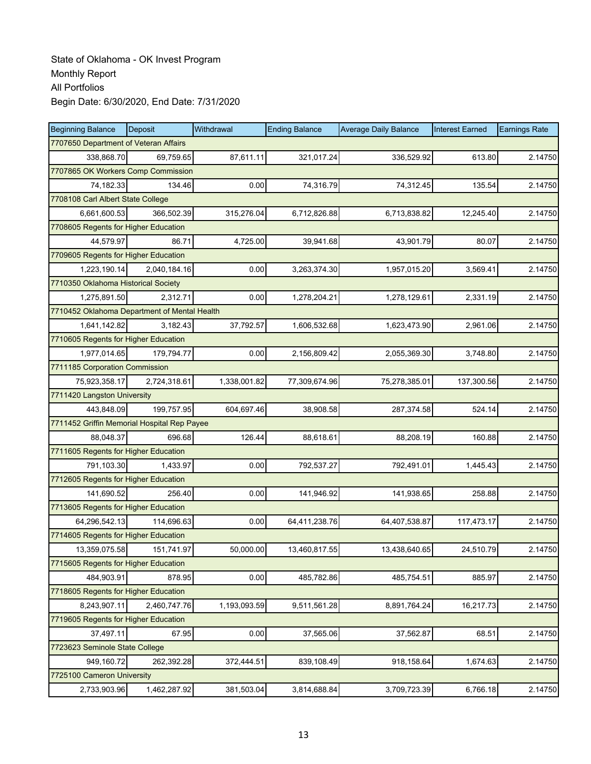| <b>Beginning Balance</b>                     | Deposit                           | Withdrawal   | <b>Ending Balance</b> | <b>Average Daily Balance</b> | <b>Interest Earned</b> | <b>Earnings Rate</b> |  |  |
|----------------------------------------------|-----------------------------------|--------------|-----------------------|------------------------------|------------------------|----------------------|--|--|
| 7707650 Department of Veteran Affairs        |                                   |              |                       |                              |                        |                      |  |  |
| 338,868.70                                   | 69,759.65                         | 87,611.11    | 321,017.24            | 336,529.92                   | 613.80                 | 2.14750              |  |  |
| 7707865 OK Workers Comp Commission           |                                   |              |                       |                              |                        |                      |  |  |
| 74,182.33                                    | 134.46                            | 0.00         | 74,316.79             | 74,312.45                    | 135.54                 | 2.14750              |  |  |
|                                              | 7708108 Carl Albert State College |              |                       |                              |                        |                      |  |  |
| 6,661,600.53                                 | 366,502.39                        | 315,276.04   | 6,712,826.88          | 6,713,838.82                 | 12,245.40              | 2.14750              |  |  |
| 7708605 Regents for Higher Education         |                                   |              |                       |                              |                        |                      |  |  |
| 44,579.97                                    | 86.71                             | 4,725.00     | 39,941.68             | 43,901.79                    | 80.07                  | 2.14750              |  |  |
| 7709605 Regents for Higher Education         |                                   |              |                       |                              |                        |                      |  |  |
| 1,223,190.14                                 | 2,040,184.16                      | 0.00         | 3,263,374.30          | 1,957,015.20                 | 3,569.41               | 2.14750              |  |  |
| 7710350 Oklahoma Historical Society          |                                   |              |                       |                              |                        |                      |  |  |
| 1,275,891.50                                 | 2,312.71                          | 0.00         | 1,278,204.21          | 1,278,129.61                 | 2,331.19               | 2.14750              |  |  |
| 7710452 Oklahoma Department of Mental Health |                                   |              |                       |                              |                        |                      |  |  |
| 1,641,142.82                                 | 3,182.43                          | 37,792.57    | 1,606,532.68          | 1,623,473.90                 | 2,961.06               | 2.14750              |  |  |
| 7710605 Regents for Higher Education         |                                   |              |                       |                              |                        |                      |  |  |
| 1,977,014.65                                 | 179,794.77                        | 0.00         | 2,156,809.42          | 2,055,369.30                 | 3,748.80               | 2.14750              |  |  |
| 7711185 Corporation Commission               |                                   |              |                       |                              |                        |                      |  |  |
| 75,923,358.17                                | 2,724,318.61                      | 1,338,001.82 | 77,309,674.96         | 75,278,385.01                | 137,300.56             | 2.14750              |  |  |
| 7711420 Langston University                  |                                   |              |                       |                              |                        |                      |  |  |
| 443,848.09                                   | 199,757.95                        | 604,697.46   | 38,908.58             | 287,374.58                   | 524.14                 | 2.14750              |  |  |
| 7711452 Griffin Memorial Hospital Rep Payee  |                                   |              |                       |                              |                        |                      |  |  |
| 88,048.37                                    | 696.68                            | 126.44       | 88,618.61             | 88,208.19                    | 160.88                 | 2.14750              |  |  |
| 7711605 Regents for Higher Education         |                                   |              |                       |                              |                        |                      |  |  |
| 791,103.30                                   | 1,433.97                          | 0.00         | 792,537.27            | 792,491.01                   | 1,445.43               | 2.14750              |  |  |
| 7712605 Regents for Higher Education         |                                   |              |                       |                              |                        |                      |  |  |
| 141,690.52                                   | 256.40                            | 0.00         | 141,946.92            | 141,938.65                   | 258.88                 | 2.14750              |  |  |
| 7713605 Regents for Higher Education         |                                   |              |                       |                              |                        |                      |  |  |
| 64,296,542.13                                | 114,696.63                        | 0.00         | 64,411,238.76         | 64,407,538.87                | 117,473.17             | 2.14750              |  |  |
| 7714605 Regents for Higher Education         |                                   |              |                       |                              |                        |                      |  |  |
| 13,359,075.58                                | 151,741.97                        | 50,000.00    | 13,460,817.55         | 13,438,640.65                | 24,510.79              | 2.14750              |  |  |
| 7715605 Regents for Higher Education         |                                   |              |                       |                              |                        |                      |  |  |
| 484,903.91                                   | 878.95                            | 0.00         | 485,782.86            | 485,754.51                   | 885.97                 | 2.14750              |  |  |
| 7718605 Regents for Higher Education         |                                   |              |                       |                              |                        |                      |  |  |
| 8,243,907.11                                 | 2,460,747.76                      | 1,193,093.59 | 9,511,561.28          | 8,891,764.24                 | 16,217.73              | 2.14750              |  |  |
| 7719605 Regents for Higher Education         |                                   |              |                       |                              |                        |                      |  |  |
| 37,497.11                                    | 67.95                             | 0.00         | 37,565.06             | 37,562.87                    | 68.51                  | 2.14750              |  |  |
| 7723623 Seminole State College               |                                   |              |                       |                              |                        |                      |  |  |
| 949,160.72                                   | 262,392.28                        | 372,444.51   | 839,108.49            | 918,158.64                   | 1,674.63               | 2.14750              |  |  |
| 7725100 Cameron University                   |                                   |              |                       |                              |                        |                      |  |  |
| 2,733,903.96                                 | 1,462,287.92                      | 381,503.04   | 3,814,688.84          | 3,709,723.39                 | 6,766.18               | 2.14750              |  |  |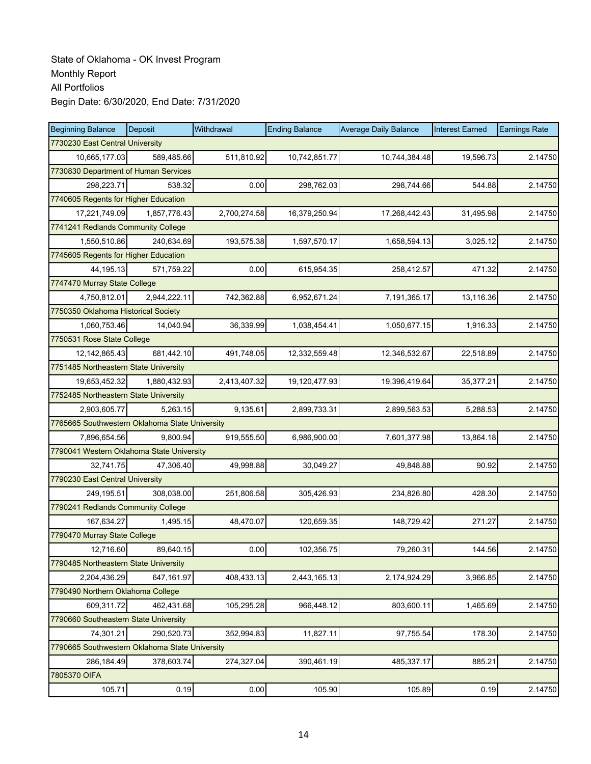| <b>Beginning Balance</b>                       | Deposit      | Withdrawal   | <b>Ending Balance</b> | <b>Average Daily Balance</b> | <b>Interest Earned</b> | <b>Earnings Rate</b> |  |
|------------------------------------------------|--------------|--------------|-----------------------|------------------------------|------------------------|----------------------|--|
| 7730230 East Central University                |              |              |                       |                              |                        |                      |  |
| 10,665,177.03                                  | 589,485.66   | 511,810.92   | 10,742,851.77         | 10,744,384.48                | 19,596.73              | 2.14750              |  |
| 7730830 Department of Human Services           |              |              |                       |                              |                        |                      |  |
| 298,223.71                                     | 538.32       | 0.00         | 298,762.03            | 298,744.66                   | 544.88                 | 2.14750              |  |
| 7740605 Regents for Higher Education           |              |              |                       |                              |                        |                      |  |
| 17,221,749.09                                  | 1,857,776.43 | 2,700,274.58 | 16,379,250.94         | 17,268,442.43                | 31,495.98              | 2.14750              |  |
| 7741241 Redlands Community College             |              |              |                       |                              |                        |                      |  |
| 1,550,510.86                                   | 240,634.69   | 193,575.38   | 1,597,570.17          | 1,658,594.13                 | 3,025.12               | 2.14750              |  |
| 7745605 Regents for Higher Education           |              |              |                       |                              |                        |                      |  |
| 44,195.13                                      | 571,759.22   | 0.00         | 615,954.35            | 258,412.57                   | 471.32                 | 2.14750              |  |
| 7747470 Murray State College                   |              |              |                       |                              |                        |                      |  |
| 4,750,812.01                                   | 2,944,222.11 | 742,362.88   | 6,952,671.24          | 7,191,365.17                 | 13,116.36              | 2.14750              |  |
| 7750350 Oklahoma Historical Society            |              |              |                       |                              |                        |                      |  |
| 1,060,753.46                                   | 14,040.94    | 36,339.99    | 1,038,454.41          | 1,050,677.15                 | 1,916.33               | 2.14750              |  |
| 7750531 Rose State College                     |              |              |                       |                              |                        |                      |  |
| 12, 142, 865. 43                               | 681,442.10   | 491,748.05   | 12,332,559.48         | 12,346,532.67                | 22,518.89              | 2.14750              |  |
| 7751485 Northeastern State University          |              |              |                       |                              |                        |                      |  |
| 19,653,452.32                                  | 1,880,432.93 | 2,413,407.32 | 19,120,477.93         | 19,396,419.64                | 35,377.21              | 2.14750              |  |
| 7752485 Northeastern State University          |              |              |                       |                              |                        |                      |  |
| 2,903,605.77                                   | 5,263.15     | 9,135.61     | 2,899,733.31          | 2,899,563.53                 | 5,288.53               | 2.14750              |  |
| 7765665 Southwestern Oklahoma State University |              |              |                       |                              |                        |                      |  |
| 7,896,654.56                                   | 9.800.94     | 919,555.50   | 6,986,900.00          | 7,601,377.98                 | 13,864.18              | 2.14750              |  |
| 7790041 Western Oklahoma State University      |              |              |                       |                              |                        |                      |  |
| 32,741.75                                      | 47,306.40    | 49,998.88    | 30,049.27             | 49,848.88                    | 90.92                  | 2.14750              |  |
| 7790230 East Central University                |              |              |                       |                              |                        |                      |  |
| 249,195.51                                     | 308,038.00   | 251,806.58   | 305,426.93            | 234,826.80                   | 428.30                 | 2.14750              |  |
| 7790241 Redlands Community College             |              |              |                       |                              |                        |                      |  |
| 167,634.27                                     | 1,495.15     | 48,470.07    | 120,659.35            | 148,729.42                   | 271.27                 | 2.14750              |  |
| 7790470 Murray State College                   |              |              |                       |                              |                        |                      |  |
| 12,716.60                                      | 89,640.15    | 0.00         | 102,356.75            | 79,260.31                    | 144.56                 | 2.14750              |  |
| 7790485 Northeastern State University          |              |              |                       |                              |                        |                      |  |
| 2,204,436.29                                   | 647,161.97   | 408,433.13   | 2,443,165.13          | 2,174,924.29                 | 3,966.85               | 2.14750              |  |
| 7790490 Northern Oklahoma College              |              |              |                       |                              |                        |                      |  |
| 609,311.72                                     | 462,431.68   | 105,295.28   | 966,448.12            | 803,600.11                   | 1,465.69               | 2.14750              |  |
| 7790660 Southeastern State University          |              |              |                       |                              |                        |                      |  |
| 74,301.21                                      | 290,520.73   | 352,994.83   | 11,827.11             | 97,755.54                    | 178.30                 | 2.14750              |  |
| 7790665 Southwestern Oklahoma State University |              |              |                       |                              |                        |                      |  |
| 286,184.49                                     | 378,603.74   | 274,327.04   | 390,461.19            | 485,337.17                   | 885.21                 | 2.14750              |  |
| 7805370 OIFA                                   |              |              |                       |                              |                        |                      |  |
| 105.71                                         | 0.19         | 0.00         | 105.90                | 105.89                       | 0.19                   | 2.14750              |  |